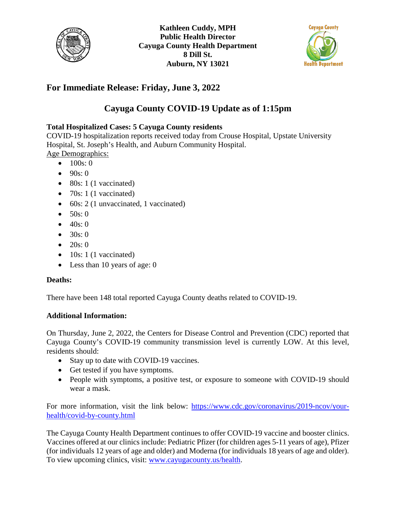



## **For Immediate Release: Friday, June 3, 2022**

# **Cayuga County COVID-19 Update as of 1:15pm**

## **Total Hospitalized Cases: 5 Cayuga County residents**

COVID-19 hospitalization reports received today from Crouse Hospital, Upstate University Hospital, St. Joseph's Health, and Auburn Community Hospital. Age Demographics:

- $100s:0$
- $90s:0$
- 80s: 1 (1 vaccinated)
- 70s: 1 (1 vaccinated)
- 60s: 2 (1 unvaccinated, 1 vaccinated)
- $50s:0$
- $40s:0$
- 30s: 0
- 20s: 0
- $\bullet$  10s: 1 (1 vaccinated)
- Less than 10 years of age: 0

### **Deaths:**

There have been 148 total reported Cayuga County deaths related to COVID-19.

### **Additional Information:**

On Thursday, June 2, 2022, the Centers for Disease Control and Prevention (CDC) reported that Cayuga County's COVID-19 community transmission level is currently LOW. At this level, residents should:

- Stay up to date with COVID-19 vaccines.
- Get tested if you have symptoms.
- People with symptoms, a positive test, or exposure to someone with COVID-19 should wear a mask.

For more information, visit the link below: [https://www.cdc.gov/coronavirus/2019-ncov/your](https://www.cdc.gov/coronavirus/2019-ncov/your-health/covid-by-county.html)[health/covid-by-county.html](https://www.cdc.gov/coronavirus/2019-ncov/your-health/covid-by-county.html)

The Cayuga County Health Department continues to offer COVID-19 vaccine and booster clinics. Vaccines offered at our clinics include: Pediatric Pfizer (for children ages 5-11 years of age), Pfizer (for individuals 12 years of age and older) and Moderna (for individuals 18 years of age and older). To view upcoming clinics, visit: [www.cayugacounty.us/health.](http://www.cayugacounty.us/health)